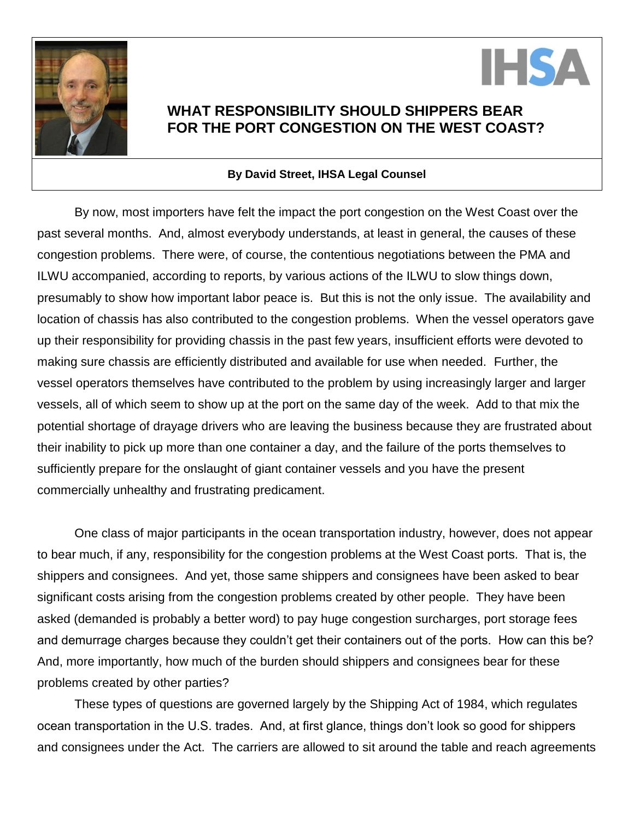



## **WHAT RESPONSIBILITY SHOULD SHIPPERS BEAR FOR THE PORT CONGESTION ON THE WEST COAST?**

## **By David Street, IHSA Legal Counsel**

By now, most importers have felt the impact the port congestion on the West Coast over the past several months. And, almost everybody understands, at least in general, the causes of these congestion problems. There were, of course, the contentious negotiations between the PMA and ILWU accompanied, according to reports, by various actions of the ILWU to slow things down, presumably to show how important labor peace is. But this is not the only issue. The availability and location of chassis has also contributed to the congestion problems. When the vessel operators gave up their responsibility for providing chassis in the past few years, insufficient efforts were devoted to making sure chassis are efficiently distributed and available for use when needed. Further, the vessel operators themselves have contributed to the problem by using increasingly larger and larger vessels, all of which seem to show up at the port on the same day of the week. Add to that mix the potential shortage of drayage drivers who are leaving the business because they are frustrated about their inability to pick up more than one container a day, and the failure of the ports themselves to sufficiently prepare for the onslaught of giant container vessels and you have the present commercially unhealthy and frustrating predicament.

One class of major participants in the ocean transportation industry, however, does not appear to bear much, if any, responsibility for the congestion problems at the West Coast ports. That is, the shippers and consignees. And yet, those same shippers and consignees have been asked to bear significant costs arising from the congestion problems created by other people. They have been asked (demanded is probably a better word) to pay huge congestion surcharges, port storage fees and demurrage charges because they couldn't get their containers out of the ports. How can this be? And, more importantly, how much of the burden should shippers and consignees bear for these problems created by other parties?

These types of questions are governed largely by the Shipping Act of 1984, which regulates ocean transportation in the U.S. trades. And, at first glance, things don't look so good for shippers and consignees under the Act. The carriers are allowed to sit around the table and reach agreements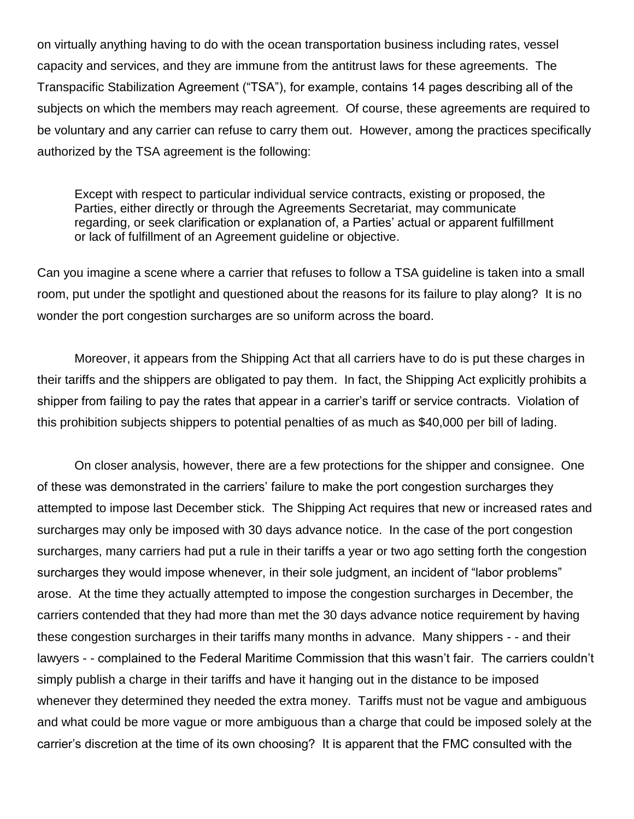on virtually anything having to do with the ocean transportation business including rates, vessel capacity and services, and they are immune from the antitrust laws for these agreements. The Transpacific Stabilization Agreement ("TSA"), for example, contains 14 pages describing all of the subjects on which the members may reach agreement. Of course, these agreements are required to be voluntary and any carrier can refuse to carry them out. However, among the practices specifically authorized by the TSA agreement is the following:

Except with respect to particular individual service contracts, existing or proposed, the Parties, either directly or through the Agreements Secretariat, may communicate regarding, or seek clarification or explanation of, a Parties' actual or apparent fulfillment or lack of fulfillment of an Agreement guideline or objective.

Can you imagine a scene where a carrier that refuses to follow a TSA guideline is taken into a small room, put under the spotlight and questioned about the reasons for its failure to play along? It is no wonder the port congestion surcharges are so uniform across the board.

Moreover, it appears from the Shipping Act that all carriers have to do is put these charges in their tariffs and the shippers are obligated to pay them. In fact, the Shipping Act explicitly prohibits a shipper from failing to pay the rates that appear in a carrier's tariff or service contracts. Violation of this prohibition subjects shippers to potential penalties of as much as \$40,000 per bill of lading.

On closer analysis, however, there are a few protections for the shipper and consignee. One of these was demonstrated in the carriers' failure to make the port congestion surcharges they attempted to impose last December stick. The Shipping Act requires that new or increased rates and surcharges may only be imposed with 30 days advance notice. In the case of the port congestion surcharges, many carriers had put a rule in their tariffs a year or two ago setting forth the congestion surcharges they would impose whenever, in their sole judgment, an incident of "labor problems" arose. At the time they actually attempted to impose the congestion surcharges in December, the carriers contended that they had more than met the 30 days advance notice requirement by having these congestion surcharges in their tariffs many months in advance. Many shippers - - and their lawyers - - complained to the Federal Maritime Commission that this wasn't fair. The carriers couldn't simply publish a charge in their tariffs and have it hanging out in the distance to be imposed whenever they determined they needed the extra money. Tariffs must not be vague and ambiguous and what could be more vague or more ambiguous than a charge that could be imposed solely at the carrier's discretion at the time of its own choosing? It is apparent that the FMC consulted with the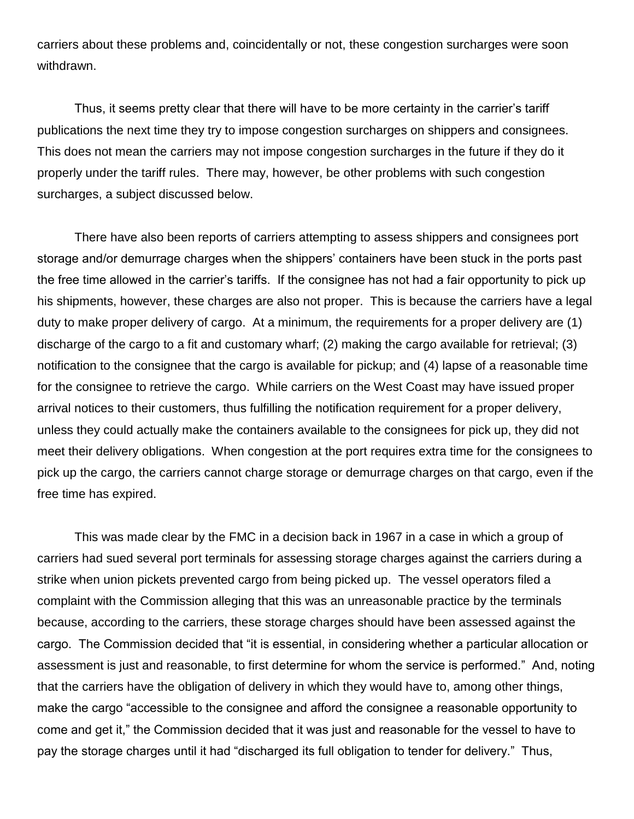carriers about these problems and, coincidentally or not, these congestion surcharges were soon withdrawn.

Thus, it seems pretty clear that there will have to be more certainty in the carrier's tariff publications the next time they try to impose congestion surcharges on shippers and consignees. This does not mean the carriers may not impose congestion surcharges in the future if they do it properly under the tariff rules. There may, however, be other problems with such congestion surcharges, a subject discussed below.

There have also been reports of carriers attempting to assess shippers and consignees port storage and/or demurrage charges when the shippers' containers have been stuck in the ports past the free time allowed in the carrier's tariffs. If the consignee has not had a fair opportunity to pick up his shipments, however, these charges are also not proper. This is because the carriers have a legal duty to make proper delivery of cargo. At a minimum, the requirements for a proper delivery are (1) discharge of the cargo to a fit and customary wharf; (2) making the cargo available for retrieval; (3) notification to the consignee that the cargo is available for pickup; and (4) lapse of a reasonable time for the consignee to retrieve the cargo. While carriers on the West Coast may have issued proper arrival notices to their customers, thus fulfilling the notification requirement for a proper delivery, unless they could actually make the containers available to the consignees for pick up, they did not meet their delivery obligations. When congestion at the port requires extra time for the consignees to pick up the cargo, the carriers cannot charge storage or demurrage charges on that cargo, even if the free time has expired.

This was made clear by the FMC in a decision back in 1967 in a case in which a group of carriers had sued several port terminals for assessing storage charges against the carriers during a strike when union pickets prevented cargo from being picked up. The vessel operators filed a complaint with the Commission alleging that this was an unreasonable practice by the terminals because, according to the carriers, these storage charges should have been assessed against the cargo. The Commission decided that "it is essential, in considering whether a particular allocation or assessment is just and reasonable, to first determine for whom the service is performed." And, noting that the carriers have the obligation of delivery in which they would have to, among other things, make the cargo "accessible to the consignee and afford the consignee a reasonable opportunity to come and get it," the Commission decided that it was just and reasonable for the vessel to have to pay the storage charges until it had "discharged its full obligation to tender for delivery." Thus,